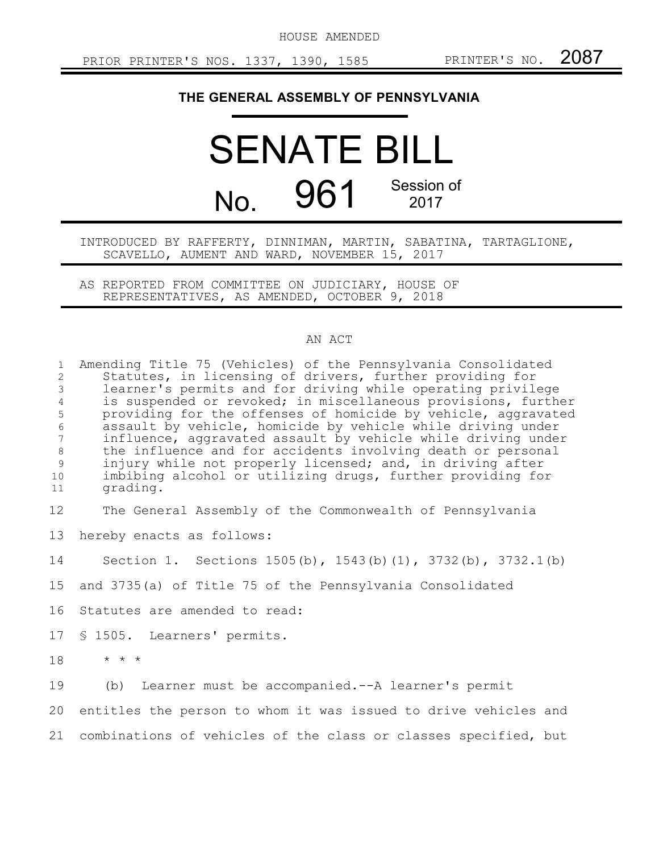HOUSE AMENDED

## **THE GENERAL ASSEMBLY OF PENNSYLVANIA**

## SENATE BILL No. 961 Session of 2017

## INTRODUCED BY RAFFERTY, DINNIMAN, MARTIN, SABATINA, TARTAGLIONE, SCAVELLO, AUMENT AND WARD, NOVEMBER 15, 2017

AS REPORTED FROM COMMITTEE ON JUDICIARY, HOUSE OF REPRESENTATIVES, AS AMENDED, OCTOBER 9, 2018

## AN ACT

| $\mathbf{1}$<br>$\overline{2}$<br>$\mathfrak{Z}$<br>$\overline{4}$ | Amending Title 75 (Vehicles) of the Pennsylvania Consolidated<br>Statutes, in licensing of drivers, further providing for<br>learner's permits and for driving while operating privilege<br>is suspended or revoked; in miscellaneous provisions, further                                                                                                                                          |
|--------------------------------------------------------------------|----------------------------------------------------------------------------------------------------------------------------------------------------------------------------------------------------------------------------------------------------------------------------------------------------------------------------------------------------------------------------------------------------|
| 5<br>$\sqrt{6}$<br>$\overline{7}$<br>$8\,$<br>9<br>10<br>11        | providing for the offenses of homicide by vehicle, aggravated<br>assault by vehicle, homicide by vehicle while driving under<br>influence, aggravated assault by vehicle while driving under<br>the influence and for accidents involving death or personal<br>injury while not properly licensed; and, in driving after<br>imbibing alcohol or utilizing drugs, further providing for<br>grading. |
| $12 \,$                                                            | The General Assembly of the Commonwealth of Pennsylvania                                                                                                                                                                                                                                                                                                                                           |
| 13                                                                 | hereby enacts as follows:                                                                                                                                                                                                                                                                                                                                                                          |
| 14                                                                 | Section 1. Sections 1505(b), 1543(b)(1), 3732(b), 3732.1(b)                                                                                                                                                                                                                                                                                                                                        |
| 15                                                                 | and 3735(a) of Title 75 of the Pennsylvania Consolidated                                                                                                                                                                                                                                                                                                                                           |
| 16                                                                 | Statutes are amended to read:                                                                                                                                                                                                                                                                                                                                                                      |
| 17                                                                 | \$ 1505. Learners' permits.                                                                                                                                                                                                                                                                                                                                                                        |
| 18                                                                 | $\star$ $\star$ $\star$                                                                                                                                                                                                                                                                                                                                                                            |
| 19                                                                 | (b) Learner must be accompanied. -- A learner's permit                                                                                                                                                                                                                                                                                                                                             |
| 20                                                                 | entitles the person to whom it was issued to drive vehicles and                                                                                                                                                                                                                                                                                                                                    |
| 21                                                                 | combinations of vehicles of the class or classes specified, but                                                                                                                                                                                                                                                                                                                                    |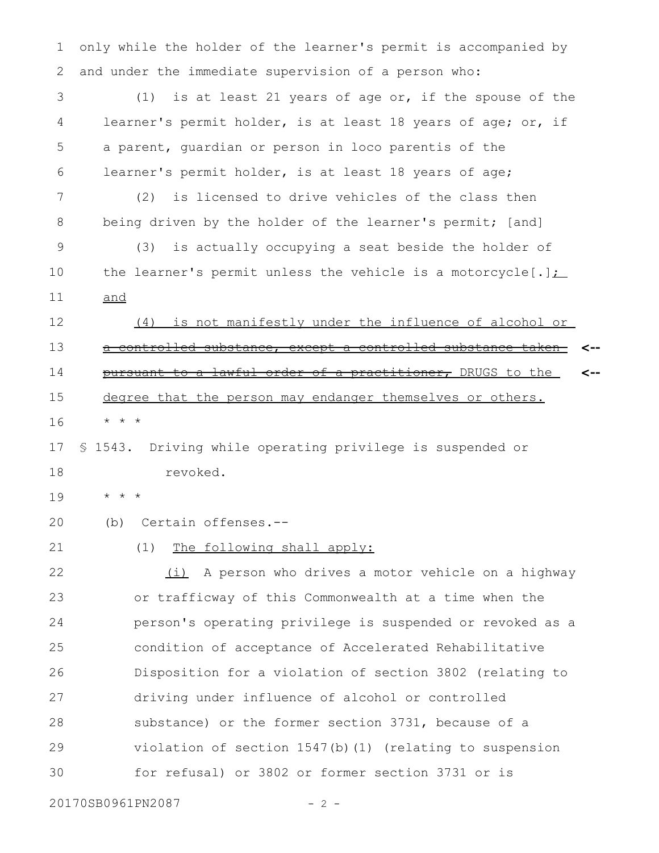only while the holder of the learner's permit is accompanied by and under the immediate supervision of a person who: 1 2

(1) is at least 21 years of age or, if the spouse of the learner's permit holder, is at least 18 years of age; or, if a parent, guardian or person in loco parentis of the learner's permit holder, is at least 18 years of age; 3 4 5 6

(2) is licensed to drive vehicles of the class then being driven by the holder of the learner's permit; [and] 7 8

(3) is actually occupying a seat beside the holder of the learner's permit unless the vehicle is a motorcycle[.] $\sum$ and 9 10 11

(4) is not manifestly under the influence of alcohol or a controlled substance, except a controlled substance taken pursuant to a lawful order of a practitioner, DRUGS to the degree that the person may endanger themselves or others. \* \* \* **<-- <--** 12 13 14 15 16

§ 1543. Driving while operating privilege is suspended or revoked. 17 18

\* \* \* 19

(b) Certain offenses.-- 20

21

(1) The following shall apply:

(i) A person who drives a motor vehicle on a highway or trafficway of this Commonwealth at a time when the person's operating privilege is suspended or revoked as a condition of acceptance of Accelerated Rehabilitative Disposition for a violation of section 3802 (relating to driving under influence of alcohol or controlled substance) or the former section 3731, because of a violation of section 1547(b)(1) (relating to suspension for refusal) or 3802 or former section 3731 or is 22 23 24 25 26 27 28 29 30

20170SB0961PN2087 - 2 -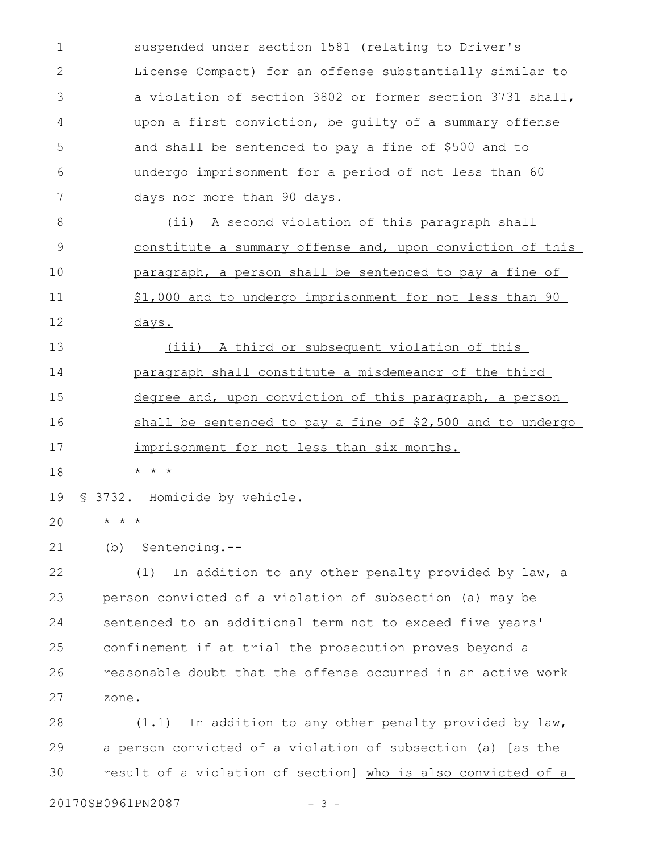suspended under section 1581 (relating to Driver's License Compact) for an offense substantially similar to a violation of section 3802 or former section 3731 shall, upon a first conviction, be guilty of a summary offense and shall be sentenced to pay a fine of \$500 and to undergo imprisonment for a period of not less than 60 days nor more than 90 days. 1 2 3 4 5 6 7

(ii) A second violation of this paragraph shall constitute a summary offense and, upon conviction of this paragraph, a person shall be sentenced to pay a fine of \$1,000 and to undergo imprisonment for not less than 90 days. 8 9 10 11 12

(iii) A third or subsequent violation of this paragraph shall constitute a misdemeanor of the third degree and, upon conviction of this paragraph, a person shall be sentenced to pay a fine of \$2,500 and to undergo imprisonment for not less than six months. 13 14 15 16 17

\* \* \* 18

§ 3732. Homicide by vehicle. 19

\* \* \* 20

(b) Sentencing.-- 21

(1) In addition to any other penalty provided by law, a person convicted of a violation of subsection (a) may be sentenced to an additional term not to exceed five years' confinement if at trial the prosecution proves beyond a reasonable doubt that the offense occurred in an active work zone. 22 23 24 25 26 27

(1.1) In addition to any other penalty provided by law, a person convicted of a violation of subsection (a) [as the result of a violation of section] who is also convicted of a 28 29 30

20170SB0961PN2087 - 3 -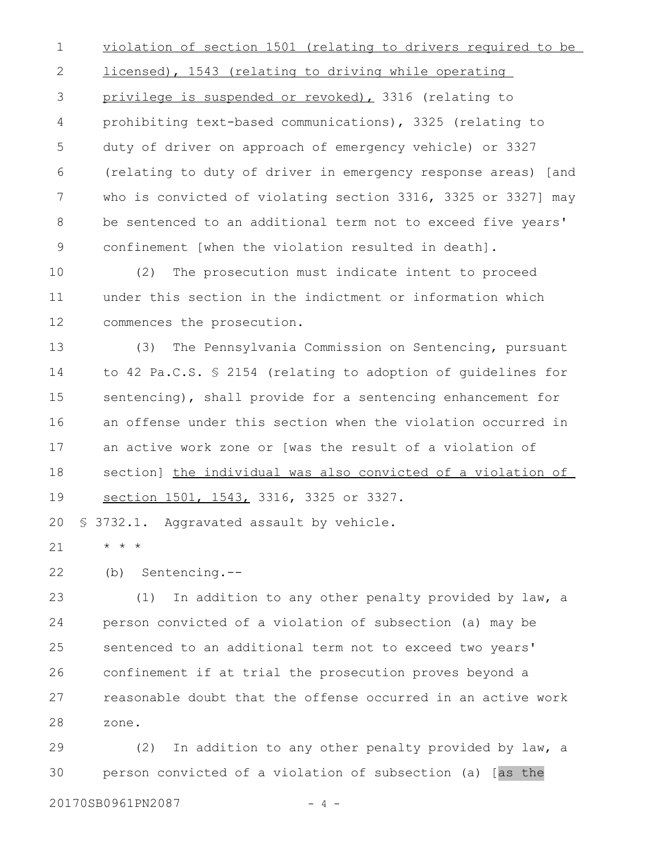violation of section 1501 (relating to drivers required to be licensed), 1543 (relating to driving while operating privilege is suspended or revoked), 3316 (relating to prohibiting text-based communications), 3325 (relating to duty of driver on approach of emergency vehicle) or 3327 (relating to duty of driver in emergency response areas) [and who is convicted of violating section 3316, 3325 or 3327] may be sentenced to an additional term not to exceed five years' confinement [when the violation resulted in death]. 1 2 3 4 5 6 7 8 9

(2) The prosecution must indicate intent to proceed under this section in the indictment or information which commences the prosecution. 10 11 12

(3) The Pennsylvania Commission on Sentencing, pursuant to 42 Pa.C.S. § 2154 (relating to adoption of guidelines for sentencing), shall provide for a sentencing enhancement for an offense under this section when the violation occurred in an active work zone or [was the result of a violation of section] the individual was also convicted of a violation of section 1501, 1543, 3316, 3325 or 3327. 13 14 15 16 17 18 19

§ 3732.1. Aggravated assault by vehicle. 20

\* \* \* 21

(b) Sentencing.-- 22

(1) In addition to any other penalty provided by law, a person convicted of a violation of subsection (a) may be sentenced to an additional term not to exceed two years' confinement if at trial the prosecution proves beyond a reasonable doubt that the offense occurred in an active work zone. 23 24 25 26 27 28

(2) In addition to any other penalty provided by law, a person convicted of a violation of subsection (a) [as the 29 30

20170SB0961PN2087 - 4 -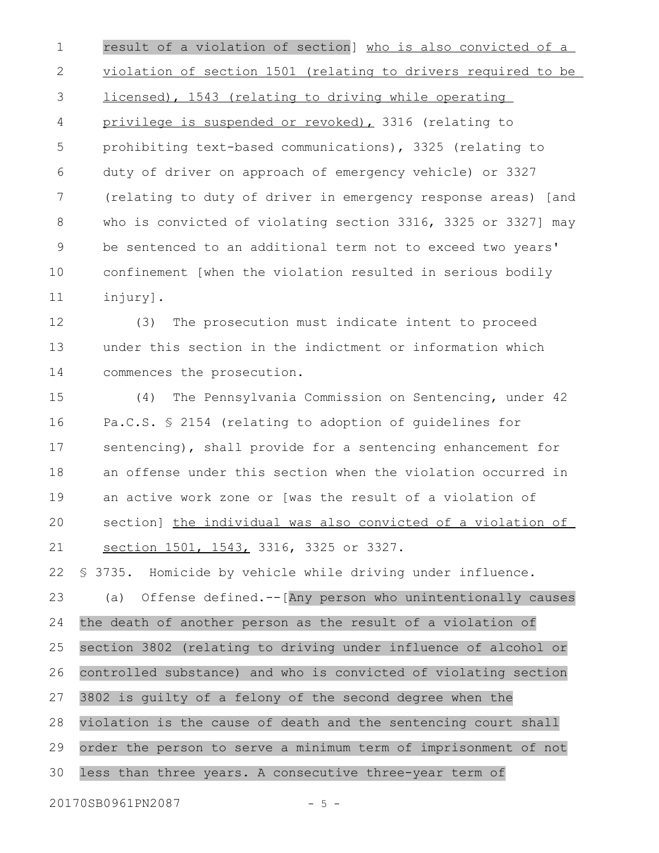result of a violation of section] who is also convicted of a violation of section 1501 (relating to drivers required to be licensed), 1543 (relating to driving while operating privilege is suspended or revoked), 3316 (relating to prohibiting text-based communications), 3325 (relating to duty of driver on approach of emergency vehicle) or 3327 (relating to duty of driver in emergency response areas) [and who is convicted of violating section 3316, 3325 or 3327] may be sentenced to an additional term not to exceed two years' confinement [when the violation resulted in serious bodily injury]. 1 2 3 4 5 6 7 8 9 10 11

(3) The prosecution must indicate intent to proceed under this section in the indictment or information which commences the prosecution. 12 13 14

(4) The Pennsylvania Commission on Sentencing, under 42 Pa.C.S. § 2154 (relating to adoption of guidelines for sentencing), shall provide for a sentencing enhancement for an offense under this section when the violation occurred in an active work zone or [was the result of a violation of section] the individual was also convicted of a violation of section 1501, 1543, 3316, 3325 or 3327. 15 16 17 18 19 20 21

§ 3735. Homicide by vehicle while driving under influence. (a) Offense defined.--[Any person who unintentionally causes the death of another person as the result of a violation of section 3802 (relating to driving under influence of alcohol or controlled substance) and who is convicted of violating section 3802 is guilty of a felony of the second degree when the violation is the cause of death and the sentencing court shall order the person to serve a minimum term of imprisonment of not less than three years. A consecutive three-year term of 22 23 24 25 26 27 28 29 30

20170SB0961PN2087 - 5 -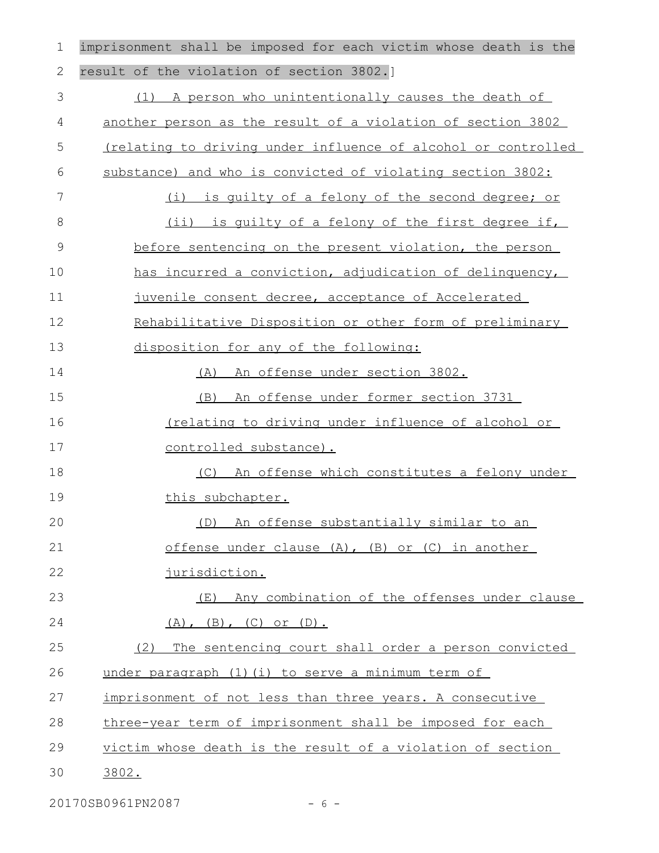imprisonment shall be imposed for each victim whose death is the result of the violation of section 3802.] (1) A person who unintentionally causes the death of another person as the result of a violation of section 3802 (relating to driving under influence of alcohol or controlled substance) and who is convicted of violating section 3802: (i) is guilty of a felony of the second degree; or (ii) is guilty of a felony of the first degree if, before sentencing on the present violation, the person has incurred a conviction, adjudication of delinquency, juvenile consent decree, acceptance of Accelerated Rehabilitative Disposition or other form of preliminary disposition for any of the following: (A) An offense under section 3802. (B) An offense under former section 3731 (relating to driving under influence of alcohol or controlled substance). (C) An offense which constitutes a felony under this subchapter. (D) An offense substantially similar to an offense under clause (A), (B) or (C) in another jurisdiction. (E) Any combination of the offenses under clause  $(A)$ ,  $(B)$ ,  $(C)$  or  $(D)$ . (2) The sentencing court shall order a person convicted under paragraph (1)(i) to serve a minimum term of imprisonment of not less than three years. A consecutive three-year term of imprisonment shall be imposed for each victim whose death is the result of a violation of section 3802. 1 2 3 4 5 6 7 8 9 10 11 12 13 14 15 16 17 18 19 20 21 22 23 24 25 26 27 28 29 30

20170SB0961PN2087 - 6 -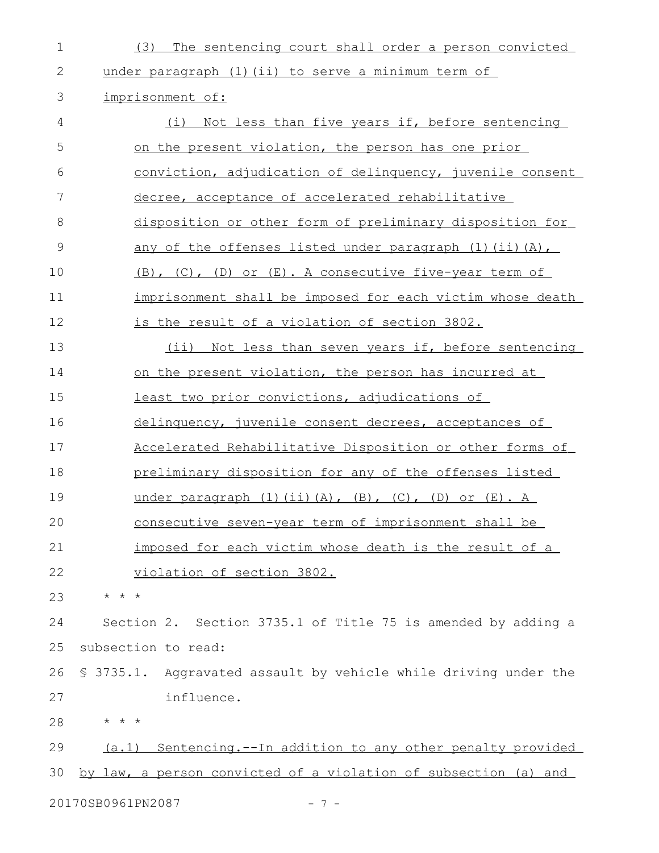| $\mathbf 1$                | The sentencing court shall order a person convicted<br>(3)              |  |
|----------------------------|-------------------------------------------------------------------------|--|
| 2                          | under paragraph (1) (ii) to serve a minimum term of                     |  |
| 3                          | imprisonment of:                                                        |  |
| 4                          | Not less than five years if, before sentencing<br>(i)                   |  |
| 5                          | on the present violation, the person has one prior                      |  |
| 6                          | conviction, adjudication of delinquency, juvenile consent               |  |
| 7                          | decree, acceptance of accelerated rehabilitative                        |  |
| 8                          | disposition or other form of preliminary disposition for                |  |
| 9                          | any of the offenses listed under paragraph (1) (ii) (A),                |  |
| 10                         | (B), (C), (D) or (E). A consecutive five-year term of                   |  |
| 11                         | imprisonment shall be imposed for each victim whose death               |  |
| 12                         | <u>is the result of a violation of section 3802.</u>                    |  |
| 13                         | Not less than seven years if, before sentencing<br>$(i$ i)              |  |
| 14                         | on the present violation, the person has incurred at                    |  |
| 15                         | least two prior convictions, adjudications of                           |  |
| 16                         | delinquency, juvenile consent decrees, acceptances of                   |  |
| 17                         | Accelerated Rehabilitative Disposition or other forms of                |  |
| 18                         | preliminary disposition for any of the offenses listed                  |  |
| 19                         | under paragraph $(1)$ $(ii)$ $(A)$ , $(B)$ , $(C)$ , $(D)$ or $(E)$ . A |  |
| 20                         | consecutive seven-year term of imprisonment shall be                    |  |
| 21                         | imposed for each victim whose death is the result of a                  |  |
| 22                         | violation of section 3802.                                              |  |
| 23                         | $\star$ $\star$ $\star$                                                 |  |
| 24                         | Section 2. Section 3735.1 of Title 75 is amended by adding a            |  |
| 25                         | subsection to read:                                                     |  |
| 26                         | \$ 3735.1. Aggravated assault by vehicle while driving under the        |  |
| 27                         | influence.                                                              |  |
| 28                         | * * *                                                                   |  |
| 29                         | Sentencing.--In addition to any other penalty provided<br>(a.1)         |  |
| 30                         | by law, a person convicted of a violation of subsection (a) and         |  |
| 20170SB0961PN2087<br>$-7-$ |                                                                         |  |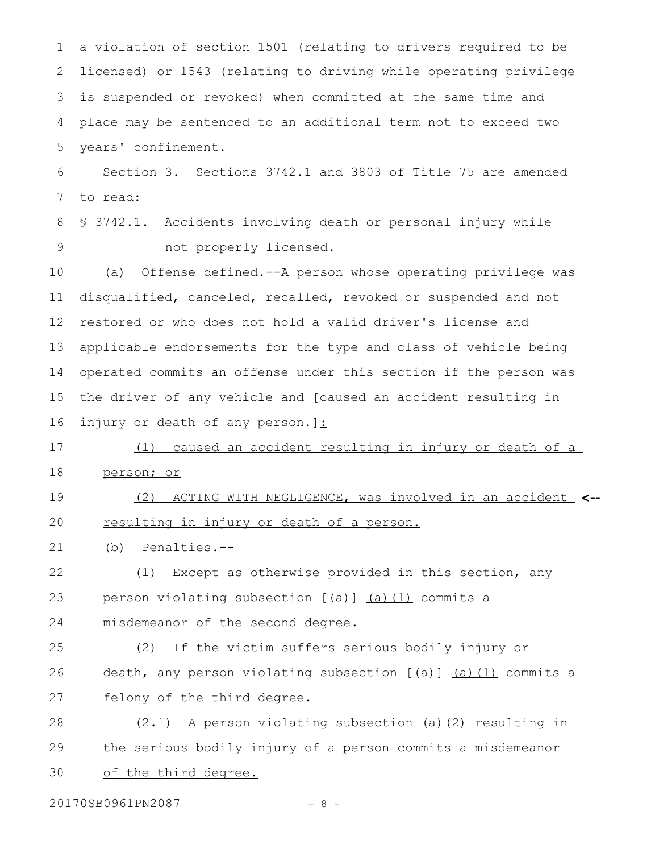| 1             | a violation of section 1501 (relating to drivers required to be  |
|---------------|------------------------------------------------------------------|
| 2             | licensed) or 1543 (relating to driving while operating privilege |
| 3             | is suspended or revoked) when committed at the same time and     |
| 4             | place may be sentenced to an additional term not to exceed two   |
| 5             | years' confinement.                                              |
| 6             | Section 3. Sections 3742.1 and 3803 of Title 75 are amended      |
| 7             | to read:                                                         |
| 8             | \$ 3742.1. Accidents involving death or personal injury while    |
| $\mathcal{G}$ | not properly licensed.                                           |
| 10            | Offense defined.--A person whose operating privilege was<br>(a)  |
| 11            | disqualified, canceled, recalled, revoked or suspended and not   |
| 12            | restored or who does not hold a valid driver's license and       |
| 13            | applicable endorsements for the type and class of vehicle being  |
| 14            | operated commits an offense under this section if the person was |
| 15            | the driver of any vehicle and [caused an accident resulting in   |
| 16            | injury or death of any person.]:                                 |
| 17            | caused an accident resulting in injury or death of a<br>(1)      |
| 18            | person; or                                                       |
| 19            | ACTING WITH NEGLIGENCE, was involved in an accident <--<br>(2)   |
| 20            | resulting in injury or death of a person.                        |
| 21            | Penalties.--<br>(b)                                              |
| 22            | Except as otherwise provided in this section, any<br>(1)         |
| 23            | person violating subsection $[(a)]$ $(a)$ $(1)$ commits a        |
| 24            | misdemeanor of the second degree.                                |
| 25            | If the victim suffers serious bodily injury or<br>(2)            |
| 26            | death, any person violating subsection [(a)] (a) (1) commits a   |
| 27            | felony of the third degree.                                      |
| 28            | (2.1) A person violating subsection (a)(2) resulting in          |
| 29            | the serious bodily injury of a person commits a misdemeanor      |
| 30            | of the third degree.                                             |

20170SB0961PN2087 - 8 -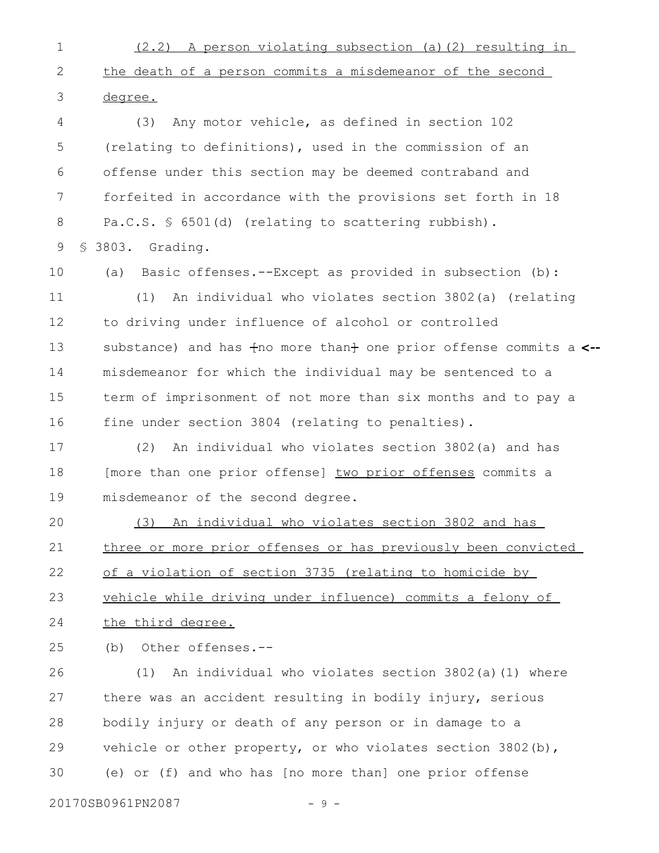(2.2) A person violating subsection (a)(2) resulting in the death of a person commits a misdemeanor of the second degree. 1 2 3

(3) Any motor vehicle, as defined in section 102 (relating to definitions), used in the commission of an offense under this section may be deemed contraband and forfeited in accordance with the provisions set forth in 18 Pa.C.S. § 6501(d) (relating to scattering rubbish). § 3803. Grading. 4 5 6 7 8 9

10

(a) Basic offenses.--Except as provided in subsection (b):

(1) An individual who violates section 3802(a) (relating to driving under influence of alcohol or controlled substance) and has  $f$ no more than $f$  one prior offense commits a <-misdemeanor for which the individual may be sentenced to a term of imprisonment of not more than six months and to pay a fine under section 3804 (relating to penalties). 11 12 13 14 15 16

(2) An individual who violates section 3802(a) and has [more than one prior offense] two prior offenses commits a misdemeanor of the second degree. 17 18 19

(3) An individual who violates section 3802 and has three or more prior offenses or has previously been convicted of a violation of section 3735 (relating to homicide by vehicle while driving under influence) commits a felony of the third degree. 20 21 22 23 24

(b) Other offenses.-- 25

(1) An individual who violates section 3802(a)(1) where there was an accident resulting in bodily injury, serious bodily injury or death of any person or in damage to a vehicle or other property, or who violates section 3802(b), (e) or (f) and who has [no more than] one prior offense 26 27 28 29 30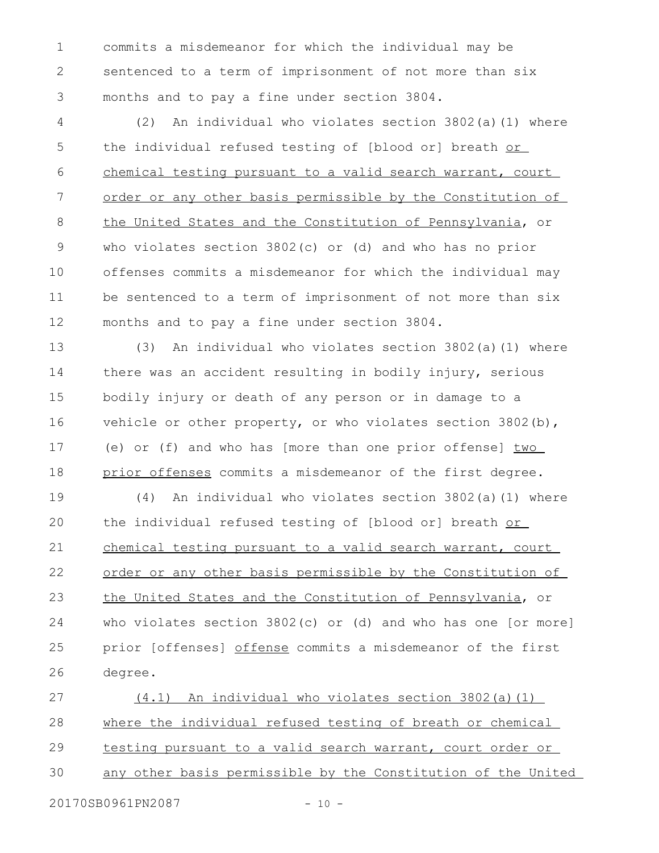commits a misdemeanor for which the individual may be sentenced to a term of imprisonment of not more than six months and to pay a fine under section 3804. 1 2 3

(2) An individual who violates section 3802(a)(1) where the individual refused testing of [blood or] breath or chemical testing pursuant to a valid search warrant, court order or any other basis permissible by the Constitution of the United States and the Constitution of Pennsylvania, or who violates section 3802(c) or (d) and who has no prior offenses commits a misdemeanor for which the individual may be sentenced to a term of imprisonment of not more than six months and to pay a fine under section 3804. 4 5 6 7 8 9 10 11 12

(3) An individual who violates section 3802(a)(1) where there was an accident resulting in bodily injury, serious bodily injury or death of any person or in damage to a vehicle or other property, or who violates section  $3802(b)$ , (e) or (f) and who has [more than one prior offense]  $two$ prior offenses commits a misdemeanor of the first degree. 13 14 15 16 17 18

(4) An individual who violates section 3802(a)(1) where the individual refused testing of [blood or] breath or chemical testing pursuant to a valid search warrant, court order or any other basis permissible by the Constitution of the United States and the Constitution of Pennsylvania, or who violates section 3802(c) or (d) and who has one [or more] prior [offenses] offense commits a misdemeanor of the first degree. 19 20 21 22 23 24 25 26

(4.1) An individual who violates section 3802(a)(1) where the individual refused testing of breath or chemical testing pursuant to a valid search warrant, court order or any other basis permissible by the Constitution of the United 27 28 29 30